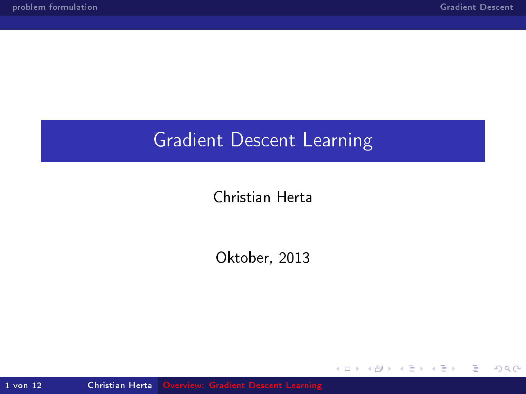## Gradient Descent Learning

Christian Herta

Oktober, 2013

**Kロト K包ト** 

B

 $\prec$  $\rightarrow$  3 동 >

目

<span id="page-0-0"></span> $299$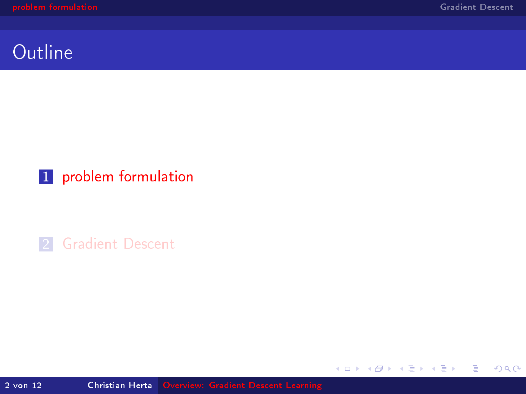È.

<span id="page-1-0"></span> $299$ 

メロト メ都 トメ 君 トメ 君 ト

#### **Outline**

#### 1 [problem formulation](#page-1-0)

2 [Gradient Descent](#page-6-0)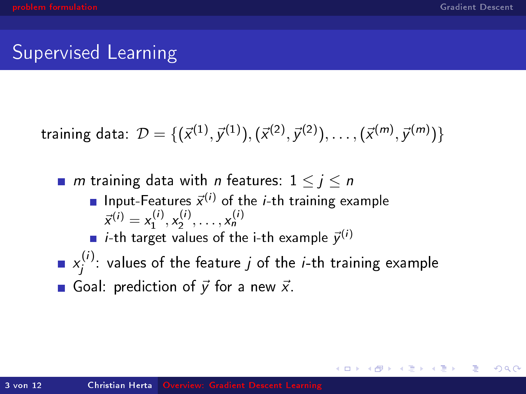$\Omega$ 

## Supervised Learning

training data: 
$$
\mathcal{D} = \{ (\vec{x}^{(1)}, \vec{y}^{(1)}), (\vec{x}^{(2)}, \vec{y}^{(2)}), \dots, (\vec{x}^{(m)}, \vec{y}^{(m)}) \}
$$

**m** training data with *n* features:  $1 \leq j \leq n$ Input-Features  $\vec{x}^{(i)}$  of the *i*-th training example  $\vec{x}^{(i)} = x_1^{(i)}, x_2^{(i)}, \ldots, x_n^{(i)}$ *i*-th target values of the i-th example  $\vec{y}^{(i)}$  $x_i^{(i)}$  $j^{\prime\prime}$ : values of the feature  $j$  of the  $i$ -th training example Goal: prediction of  $\vec{y}$  for a new  $\vec{x}$ .

**K ロ ト K 伊 ト K ヨ ト**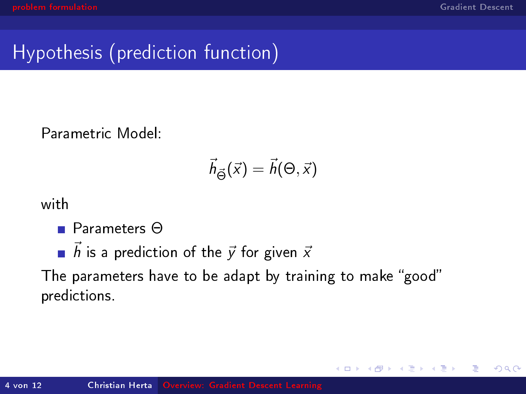$QQ$ 

∍

# Hypothesis (prediction function)

Parametric Model:

$$
\vec{h}_{\vec{\Theta}}(\vec{x}) = \vec{h}(\Theta, \vec{x})
$$

with

- Parameters Θ
- $\overrightarrow{h}$  is a prediction of the  $\overrightarrow{y}$  for given  $\overrightarrow{x}$

The parameters have to be adapt by training to make "good" predictions.

**←ロ ▶ → イ 伊 →**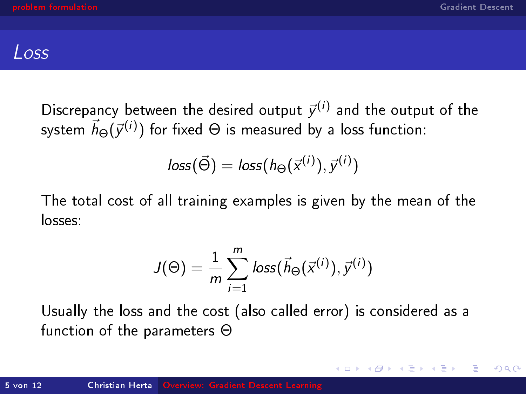$\Omega$ 

#### Loss

Discrepancy between the desired output  $\vec{y}^{(i)}$  and the output of the system  $\vec{h}_\Theta(\vec{\mathcal{y}}^{(i)})$  for fixed  $\Theta$  is measured by a loss function:

$$
loss(\vec{\Theta}) = loss(h_{\Theta}(\vec{x}^{(i)}), \vec{y}^{(i)})
$$

The total cost of all training examples is given by the mean of the losses:

$$
J(\Theta) = \frac{1}{m} \sum_{i=1}^{m} loss(\vec{h}_{\Theta}(\vec{x}^{(i)}), \vec{y}^{(i)})
$$

Usually the loss and the cost (also called error) is considered as a function of the parameters Θ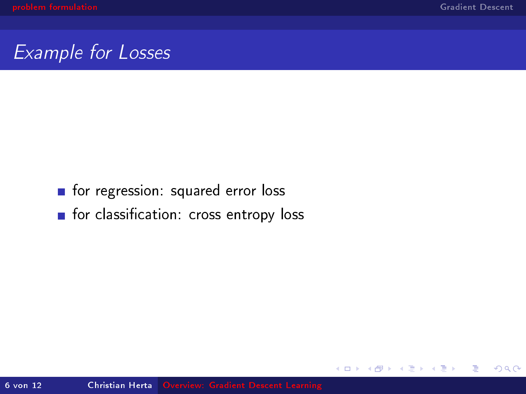Ε

 $2Q$ 

**K ロ ▶ K 伊 ▶** 

#### Example for Losses

#### **n** for regression: squared error loss

**for classification: cross entropy loss**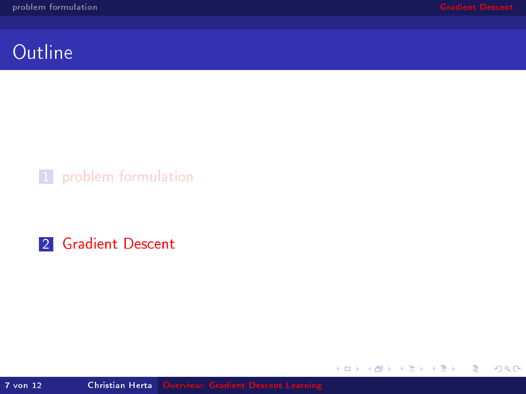È.

<span id="page-6-0"></span> $299$ 

メロト メ都 トメ 君 トメ 君 ト

### **Outline**

#### 1 [problem formulation](#page-1-0)

2 [Gradient Descent](#page-6-0)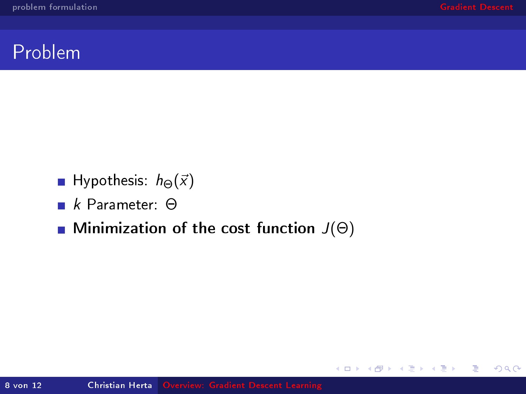目

 $2Q$ 

メロト メ都 トメ 君 トメ 君 ト

#### Problem

- **Hypothesis:**  $h_{\Theta}(\vec{x})$
- k Parameter: Θ
- **Minimization of the cost function**  $J(\Theta)$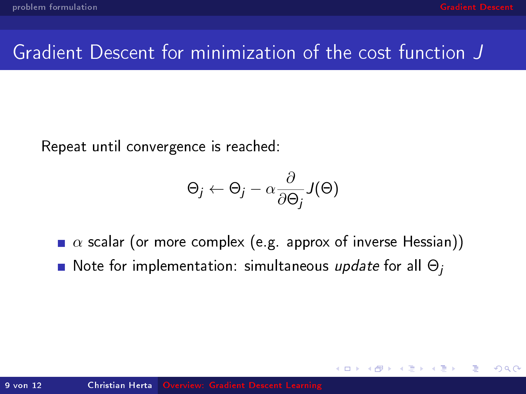$\Omega$ 

## Gradient Descent for minimization of the cost function J

Repeat until convergence is reached:

$$
\Theta_j \leftarrow \Theta_j - \alpha \frac{\partial}{\partial \Theta_j} J(\Theta)
$$

 $\bullet \alpha$  scalar (or more complex (e.g. approx of inverse Hessian)) Note for implementation: simultaneous update for all  $\Theta_i$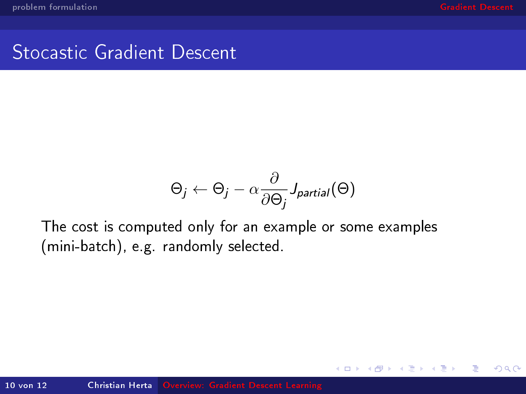B

∍

 $QQ$ 

#### Stocastic Gradient Descent

$$
\Theta_j \leftarrow \Theta_j - \alpha \frac{\partial}{\partial \Theta_j} J_{partial}( \Theta )
$$

(ロ) (伊)

∍

The cost is computed only for an example or some examples (mini-batch), e.g. randomly selected.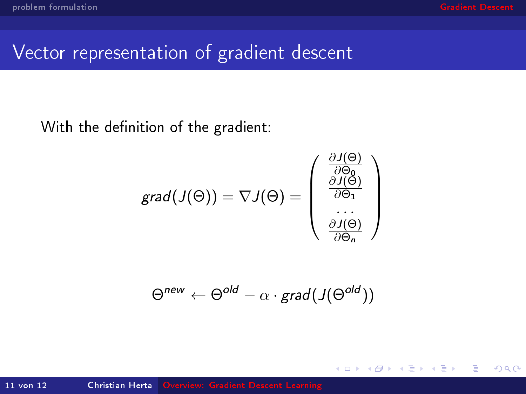$QQ$ 

∍

# Vector representation of gradient descent

With the definition of the gradient:

$$
grad(J(\Theta)) = \nabla J(\Theta) = \begin{pmatrix} \frac{\partial J(\Theta)}{\partial \Theta_0} \\ \frac{\partial J(\Theta)}{\partial \Theta_1} \\ \dots \\ \frac{\partial J(\Theta)}{\partial \Theta_n} \end{pmatrix}
$$

$$
\Theta^{new} \leftarrow \Theta^{old} - \alpha \cdot \text{grad}(J(\Theta^{old}))
$$